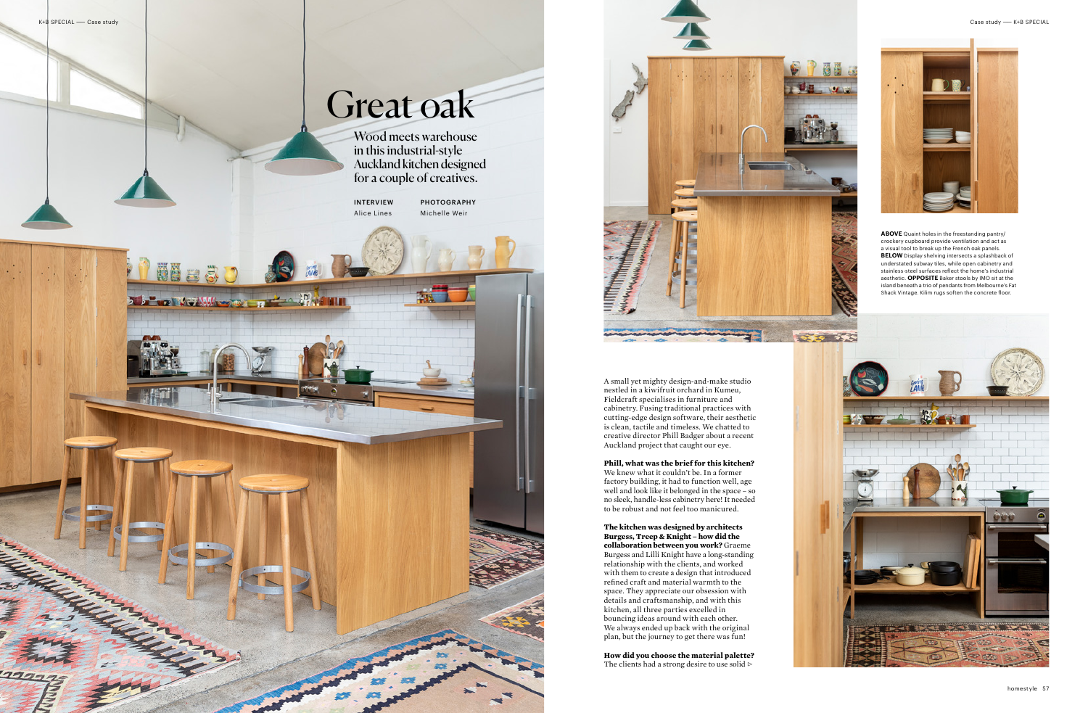**Nosau** 

**A DE LE MAN MARINE DE LA PRESENT** 



Wood meets warehouse in this industrial-style Auckland kitchen designed for a couple of creatives.

## Great oak

A small yet mighty design-and-make studio nestled in a kiwifruit orchard in Kumeu, Fieldcraft specialises in furniture and cabinetry. Fusing traditional practices with cutting-edge design software, their aesthetic is clean, tactile and timeless. We chatted to creative director Phill Badger about a recent Auckland project that caught our eye.

**Phill, what was the brief for this kitchen?**  We knew what it couldn't be. In a former factory building, it had to function well, age well and look like it belonged in the space – so no sleek, handle-less cabinetry here! It needed to be robust and not feel too manicured.

**How did you choose the material palette?**  The clients had a strong desire to use solid  $\triangleright$ 





**The kitchen was designed by architects Burgess, Treep & Knight – how did the collaboration between you work?** Graeme Burgess and Lilli Knight have a long-standing relationship with the clients, and worked with them to create a design that introduced refined craft and material warmth to the space. They appreciate our obsession with details and craftsmanship, and with this kitchen, all three parties excelled in bouncing ideas around with each other. We always ended up back with the original plan, but the journey to get there was fun!

**ABOVE** Quaint holes in the freestanding pantry/ crockery cupboard provide ventilation and act as a visual tool to break up the French oak panels. **BELOW** Display shelving intersects a splashback of understated subway tiles, while open cabinetry and stainless-steel surfaces reflect the home's industrial aesthetic. **OPPOSITE** Baker stools by IMO sit at the island beneath a trio of pendants from Melbourne's Fat Shack Vintage. Kilim rugs soften the concrete floor.



INTERVIEW Alice Lines

PHOTOGRAPHY Michelle Weir